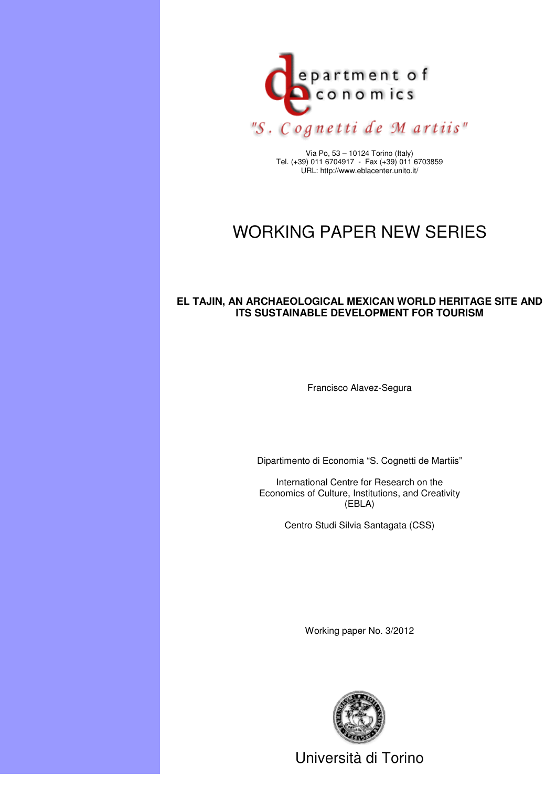

Via Po, 53 – 10124 Torino (Italy) Tel. (+39) 011 6704917 - Fax (+39) 011 6703859 URL: http://www.eblacenter.unito.it/

# WORKING PAPER NEW SERIES

# **EL TAJIN, AN ARCHAEOLOGICAL MEXICAN WORLD HERITAGE SITE AND ITS SUSTAINABLE DEVELOPMENT FOR TOURISM**

Francisco Alavez-Segura

Dipartimento di Economia "S. Cognetti de Martiis"

International Centre for Research on the Economics of Culture, Institutions, and Creativity (EBLA)

Centro Studi Silvia Santagata (CSS)

Working paper No. 3/2012



Università di Torino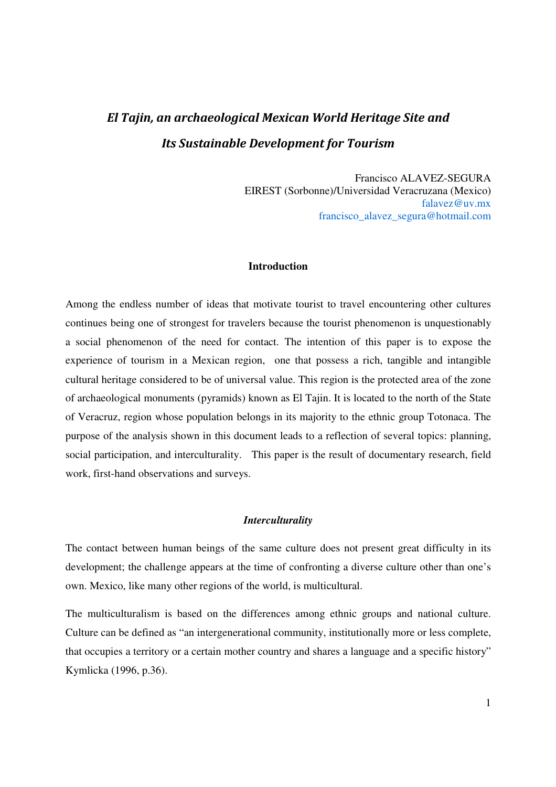# El Tajin, an archaeological Mexican World Heritage Site and Its Sustainable Development for Tourism

Francisco ALAVEZ-SEGURA EIREST (Sorbonne)/Universidad Veracruzana (Mexico) falavez@uv.mx francisco\_alavez\_segura@hotmail.com

### **Introduction**

Among the endless number of ideas that motivate tourist to travel encountering other cultures continues being one of strongest for travelers because the tourist phenomenon is unquestionably a social phenomenon of the need for contact. The intention of this paper is to expose the experience of tourism in a Mexican region, one that possess a rich, tangible and intangible cultural heritage considered to be of universal value. This region is the protected area of the zone of archaeological monuments (pyramids) known as El Tajin. It is located to the north of the State of Veracruz, region whose population belongs in its majority to the ethnic group Totonaca. The purpose of the analysis shown in this document leads to a reflection of several topics: planning, social participation, and interculturality. This paper is the result of documentary research, field work, first-hand observations and surveys.

#### *Interculturality*

The contact between human beings of the same culture does not present great difficulty in its development; the challenge appears at the time of confronting a diverse culture other than one's own. Mexico, like many other regions of the world, is multicultural.

The multiculturalism is based on the differences among ethnic groups and national culture. Culture can be defined as "an intergenerational community, institutionally more or less complete, that occupies a territory or a certain mother country and shares a language and a specific history" Kymlicka (1996, p.36).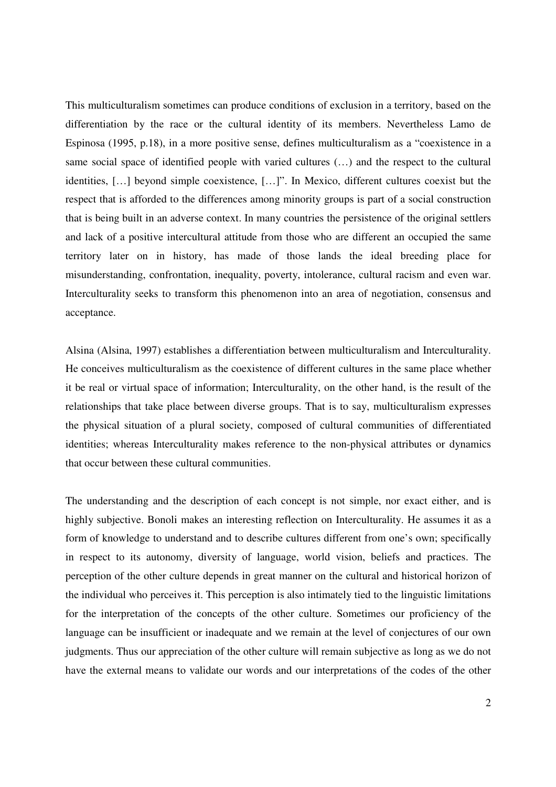This multiculturalism sometimes can produce conditions of exclusion in a territory, based on the differentiation by the race or the cultural identity of its members. Nevertheless Lamo de Espinosa (1995, p.18), in a more positive sense, defines multiculturalism as a "coexistence in a same social space of identified people with varied cultures (…) and the respect to the cultural identities, […] beyond simple coexistence, […]". In Mexico, different cultures coexist but the respect that is afforded to the differences among minority groups is part of a social construction that is being built in an adverse context. In many countries the persistence of the original settlers and lack of a positive intercultural attitude from those who are different an occupied the same territory later on in history, has made of those lands the ideal breeding place for misunderstanding, confrontation, inequality, poverty, intolerance, cultural racism and even war. Interculturality seeks to transform this phenomenon into an area of negotiation, consensus and acceptance.

Alsina (Alsina, 1997) establishes a differentiation between multiculturalism and Interculturality. He conceives multiculturalism as the coexistence of different cultures in the same place whether it be real or virtual space of information; Interculturality, on the other hand, is the result of the relationships that take place between diverse groups. That is to say, multiculturalism expresses the physical situation of a plural society, composed of cultural communities of differentiated identities; whereas Interculturality makes reference to the non-physical attributes or dynamics that occur between these cultural communities.

The understanding and the description of each concept is not simple, nor exact either, and is highly subjective. Bonoli makes an interesting reflection on Interculturality. He assumes it as a form of knowledge to understand and to describe cultures different from one's own; specifically in respect to its autonomy, diversity of language, world vision, beliefs and practices. The perception of the other culture depends in great manner on the cultural and historical horizon of the individual who perceives it. This perception is also intimately tied to the linguistic limitations for the interpretation of the concepts of the other culture. Sometimes our proficiency of the language can be insufficient or inadequate and we remain at the level of conjectures of our own judgments. Thus our appreciation of the other culture will remain subjective as long as we do not have the external means to validate our words and our interpretations of the codes of the other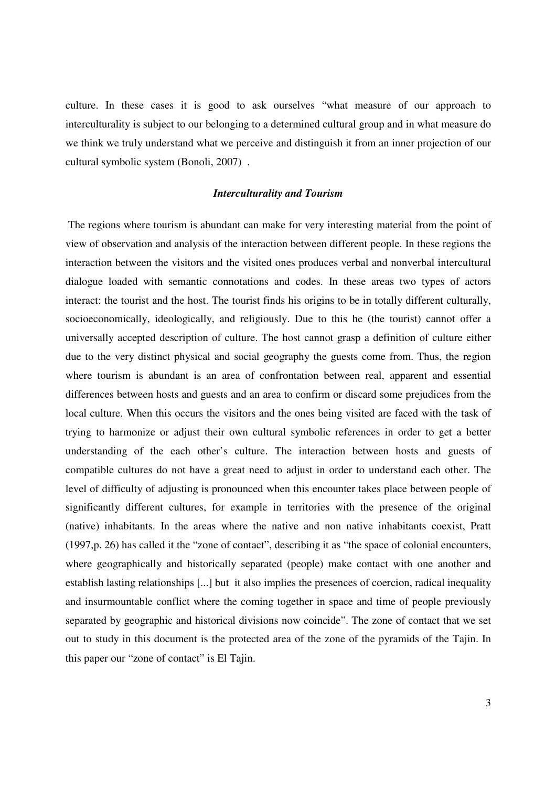culture. In these cases it is good to ask ourselves "what measure of our approach to interculturality is subject to our belonging to a determined cultural group and in what measure do we think we truly understand what we perceive and distinguish it from an inner projection of our cultural symbolic system (Bonoli, 2007) .

#### *Interculturality and Tourism*

 The regions where tourism is abundant can make for very interesting material from the point of view of observation and analysis of the interaction between different people. In these regions the interaction between the visitors and the visited ones produces verbal and nonverbal intercultural dialogue loaded with semantic connotations and codes. In these areas two types of actors interact: the tourist and the host. The tourist finds his origins to be in totally different culturally, socioeconomically, ideologically, and religiously. Due to this he (the tourist) cannot offer a universally accepted description of culture. The host cannot grasp a definition of culture either due to the very distinct physical and social geography the guests come from. Thus, the region where tourism is abundant is an area of confrontation between real, apparent and essential differences between hosts and guests and an area to confirm or discard some prejudices from the local culture. When this occurs the visitors and the ones being visited are faced with the task of trying to harmonize or adjust their own cultural symbolic references in order to get a better understanding of the each other's culture. The interaction between hosts and guests of compatible cultures do not have a great need to adjust in order to understand each other. The level of difficulty of adjusting is pronounced when this encounter takes place between people of significantly different cultures, for example in territories with the presence of the original (native) inhabitants. In the areas where the native and non native inhabitants coexist, Pratt (1997,p. 26) has called it the "zone of contact", describing it as "the space of colonial encounters, where geographically and historically separated (people) make contact with one another and establish lasting relationships [...] but it also implies the presences of coercion, radical inequality and insurmountable conflict where the coming together in space and time of people previously separated by geographic and historical divisions now coincide". The zone of contact that we set out to study in this document is the protected area of the zone of the pyramids of the Tajin. In this paper our "zone of contact" is El Tajin.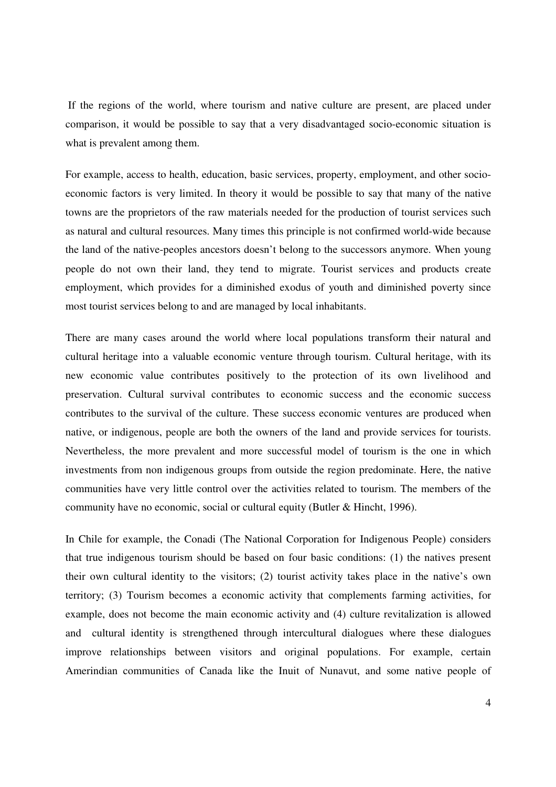If the regions of the world, where tourism and native culture are present, are placed under comparison, it would be possible to say that a very disadvantaged socio-economic situation is what is prevalent among them.

For example, access to health, education, basic services, property, employment, and other socioeconomic factors is very limited. In theory it would be possible to say that many of the native towns are the proprietors of the raw materials needed for the production of tourist services such as natural and cultural resources. Many times this principle is not confirmed world-wide because the land of the native-peoples ancestors doesn't belong to the successors anymore. When young people do not own their land, they tend to migrate. Tourist services and products create employment, which provides for a diminished exodus of youth and diminished poverty since most tourist services belong to and are managed by local inhabitants.

There are many cases around the world where local populations transform their natural and cultural heritage into a valuable economic venture through tourism. Cultural heritage, with its new economic value contributes positively to the protection of its own livelihood and preservation. Cultural survival contributes to economic success and the economic success contributes to the survival of the culture. These success economic ventures are produced when native, or indigenous, people are both the owners of the land and provide services for tourists. Nevertheless, the more prevalent and more successful model of tourism is the one in which investments from non indigenous groups from outside the region predominate. Here, the native communities have very little control over the activities related to tourism. The members of the community have no economic, social or cultural equity (Butler & Hincht, 1996).

In Chile for example, the Conadi (The National Corporation for Indigenous People) considers that true indigenous tourism should be based on four basic conditions: (1) the natives present their own cultural identity to the visitors; (2) tourist activity takes place in the native's own territory; (3) Tourism becomes a economic activity that complements farming activities, for example, does not become the main economic activity and (4) culture revitalization is allowed and cultural identity is strengthened through intercultural dialogues where these dialogues improve relationships between visitors and original populations. For example, certain Amerindian communities of Canada like the Inuit of Nunavut, and some native people of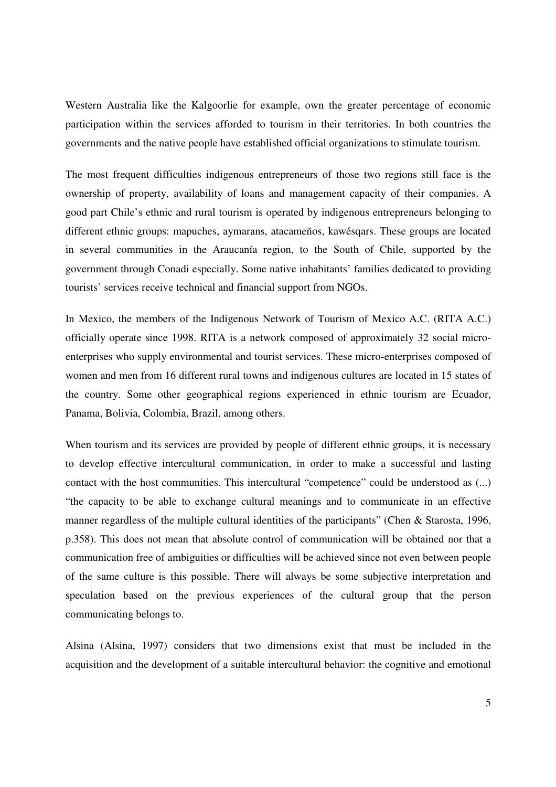Western Australia like the Kalgoorlie for example, own the greater percentage of economic participation within the services afforded to tourism in their territories. In both countries the governments and the native people have established official organizations to stimulate tourism.

The most frequent difficulties indigenous entrepreneurs of those two regions still face is the ownership of property, availability of loans and management capacity of their companies. A good part Chile's ethnic and rural tourism is operated by indigenous entrepreneurs belonging to different ethnic groups: mapuches, aymarans, atacameños, kawésqars. These groups are located in several communities in the Araucanía region, to the South of Chile, supported by the government through Conadi especially. Some native inhabitants' families dedicated to providing tourists' services receive technical and financial support from NGOs.

In Mexico, the members of the Indigenous Network of Tourism of Mexico A.C. (RITA A.C.) officially operate since 1998. RITA is a network composed of approximately 32 social microenterprises who supply environmental and tourist services. These micro-enterprises composed of women and men from 16 different rural towns and indigenous cultures are located in 15 states of the country. Some other geographical regions experienced in ethnic tourism are Ecuador, Panama, Bolivia, Colombia, Brazil, among others.

When tourism and its services are provided by people of different ethnic groups, it is necessary to develop effective intercultural communication, in order to make a successful and lasting contact with the host communities. This intercultural "competence" could be understood as (...) "the capacity to be able to exchange cultural meanings and to communicate in an effective manner regardless of the multiple cultural identities of the participants" (Chen & Starosta, 1996, p.358). This does not mean that absolute control of communication will be obtained nor that a communication free of ambiguities or difficulties will be achieved since not even between people of the same culture is this possible. There will always be some subjective interpretation and speculation based on the previous experiences of the cultural group that the person communicating belongs to.

Alsina (Alsina, 1997) considers that two dimensions exist that must be included in the acquisition and the development of a suitable intercultural behavior: the cognitive and emotional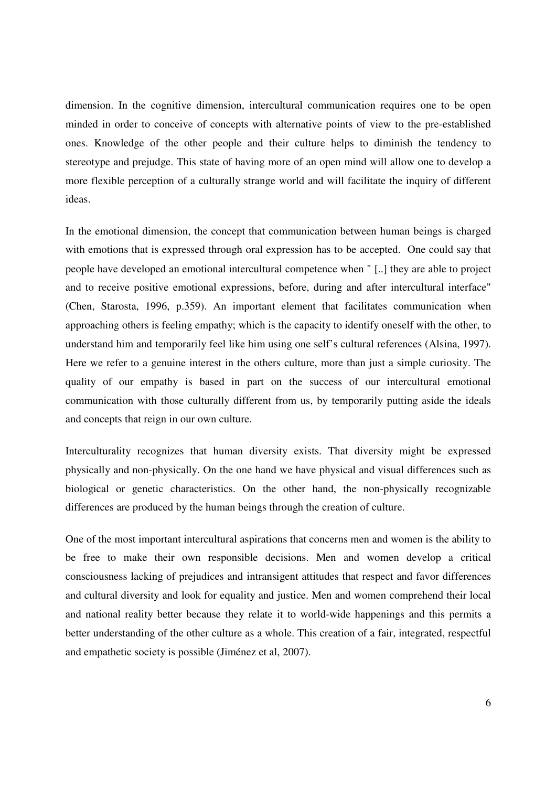dimension. In the cognitive dimension, intercultural communication requires one to be open minded in order to conceive of concepts with alternative points of view to the pre-established ones. Knowledge of the other people and their culture helps to diminish the tendency to stereotype and prejudge. This state of having more of an open mind will allow one to develop a more flexible perception of a culturally strange world and will facilitate the inquiry of different ideas.

In the emotional dimension, the concept that communication between human beings is charged with emotions that is expressed through oral expression has to be accepted. One could say that people have developed an emotional intercultural competence when " [..] they are able to project and to receive positive emotional expressions, before, during and after intercultural interface" (Chen, Starosta, 1996, p.359). An important element that facilitates communication when approaching others is feeling empathy; which is the capacity to identify oneself with the other, to understand him and temporarily feel like him using one self's cultural references (Alsina, 1997). Here we refer to a genuine interest in the others culture, more than just a simple curiosity. The quality of our empathy is based in part on the success of our intercultural emotional communication with those culturally different from us, by temporarily putting aside the ideals and concepts that reign in our own culture.

Interculturality recognizes that human diversity exists. That diversity might be expressed physically and non-physically. On the one hand we have physical and visual differences such as biological or genetic characteristics. On the other hand, the non-physically recognizable differences are produced by the human beings through the creation of culture.

One of the most important intercultural aspirations that concerns men and women is the ability to be free to make their own responsible decisions. Men and women develop a critical consciousness lacking of prejudices and intransigent attitudes that respect and favor differences and cultural diversity and look for equality and justice. Men and women comprehend their local and national reality better because they relate it to world-wide happenings and this permits a better understanding of the other culture as a whole. This creation of a fair, integrated, respectful and empathetic society is possible (Jiménez et al, 2007).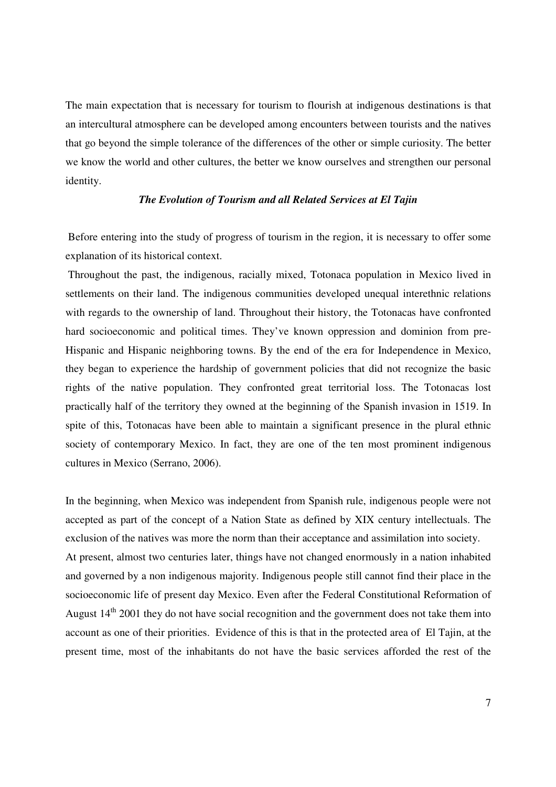The main expectation that is necessary for tourism to flourish at indigenous destinations is that an intercultural atmosphere can be developed among encounters between tourists and the natives that go beyond the simple tolerance of the differences of the other or simple curiosity. The better we know the world and other cultures, the better we know ourselves and strengthen our personal identity.

### *The Evolution of Tourism and all Related Services at El Tajin*

 Before entering into the study of progress of tourism in the region, it is necessary to offer some explanation of its historical context.

 Throughout the past, the indigenous, racially mixed, Totonaca population in Mexico lived in settlements on their land. The indigenous communities developed unequal interethnic relations with regards to the ownership of land. Throughout their history, the Totonacas have confronted hard socioeconomic and political times. They've known oppression and dominion from pre-Hispanic and Hispanic neighboring towns. By the end of the era for Independence in Mexico, they began to experience the hardship of government policies that did not recognize the basic rights of the native population. They confronted great territorial loss. The Totonacas lost practically half of the territory they owned at the beginning of the Spanish invasion in 1519. In spite of this, Totonacas have been able to maintain a significant presence in the plural ethnic society of contemporary Mexico. In fact, they are one of the ten most prominent indigenous cultures in Mexico (Serrano, 2006).

In the beginning, when Mexico was independent from Spanish rule, indigenous people were not accepted as part of the concept of a Nation State as defined by XIX century intellectuals. The exclusion of the natives was more the norm than their acceptance and assimilation into society. At present, almost two centuries later, things have not changed enormously in a nation inhabited and governed by a non indigenous majority. Indigenous people still cannot find their place in the socioeconomic life of present day Mexico. Even after the Federal Constitutional Reformation of August 14<sup>th</sup> 2001 they do not have social recognition and the government does not take them into account as one of their priorities. Evidence of this is that in the protected area of El Tajin, at the present time, most of the inhabitants do not have the basic services afforded the rest of the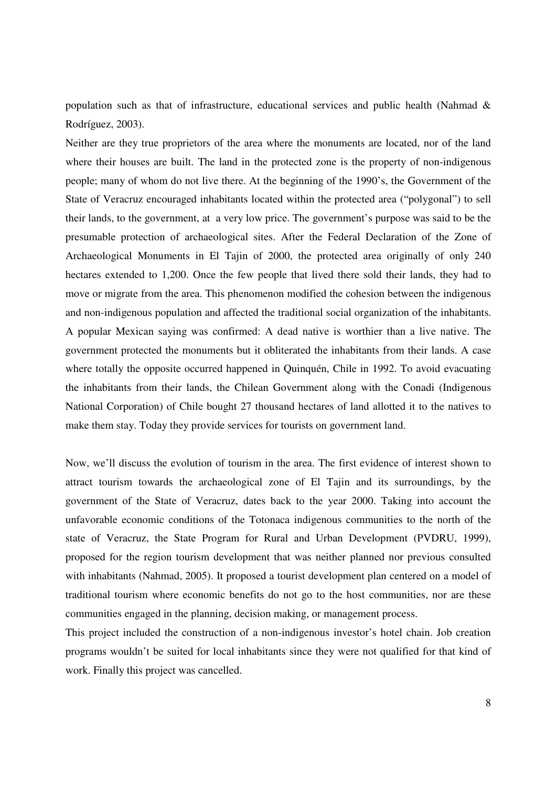population such as that of infrastructure, educational services and public health (Nahmad & Rodríguez, 2003).

Neither are they true proprietors of the area where the monuments are located, nor of the land where their houses are built. The land in the protected zone is the property of non-indigenous people; many of whom do not live there. At the beginning of the 1990's, the Government of the State of Veracruz encouraged inhabitants located within the protected area ("polygonal") to sell their lands, to the government, at a very low price. The government's purpose was said to be the presumable protection of archaeological sites. After the Federal Declaration of the Zone of Archaeological Monuments in El Tajin of 2000, the protected area originally of only 240 hectares extended to 1,200. Once the few people that lived there sold their lands, they had to move or migrate from the area. This phenomenon modified the cohesion between the indigenous and non-indigenous population and affected the traditional social organization of the inhabitants. A popular Mexican saying was confirmed: A dead native is worthier than a live native. The government protected the monuments but it obliterated the inhabitants from their lands. A case where totally the opposite occurred happened in Quinquén, Chile in 1992. To avoid evacuating the inhabitants from their lands, the Chilean Government along with the Conadi (Indigenous National Corporation) of Chile bought 27 thousand hectares of land allotted it to the natives to make them stay. Today they provide services for tourists on government land.

Now, we'll discuss the evolution of tourism in the area. The first evidence of interest shown to attract tourism towards the archaeological zone of El Tajin and its surroundings, by the government of the State of Veracruz, dates back to the year 2000. Taking into account the unfavorable economic conditions of the Totonaca indigenous communities to the north of the state of Veracruz, the State Program for Rural and Urban Development (PVDRU, 1999), proposed for the region tourism development that was neither planned nor previous consulted with inhabitants (Nahmad, 2005). It proposed a tourist development plan centered on a model of traditional tourism where economic benefits do not go to the host communities, nor are these communities engaged in the planning, decision making, or management process.

This project included the construction of a non-indigenous investor's hotel chain. Job creation programs wouldn't be suited for local inhabitants since they were not qualified for that kind of work. Finally this project was cancelled.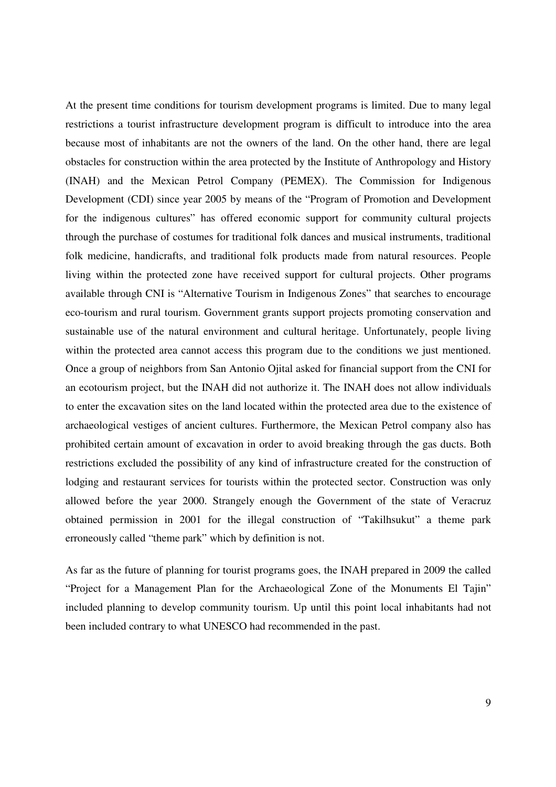At the present time conditions for tourism development programs is limited. Due to many legal restrictions a tourist infrastructure development program is difficult to introduce into the area because most of inhabitants are not the owners of the land. On the other hand, there are legal obstacles for construction within the area protected by the Institute of Anthropology and History (INAH) and the Mexican Petrol Company (PEMEX). The Commission for Indigenous Development (CDI) since year 2005 by means of the "Program of Promotion and Development for the indigenous cultures" has offered economic support for community cultural projects through the purchase of costumes for traditional folk dances and musical instruments, traditional folk medicine, handicrafts, and traditional folk products made from natural resources. People living within the protected zone have received support for cultural projects. Other programs available through CNI is "Alternative Tourism in Indigenous Zones" that searches to encourage eco-tourism and rural tourism. Government grants support projects promoting conservation and sustainable use of the natural environment and cultural heritage. Unfortunately, people living within the protected area cannot access this program due to the conditions we just mentioned. Once a group of neighbors from San Antonio Ojital asked for financial support from the CNI for an ecotourism project, but the INAH did not authorize it. The INAH does not allow individuals to enter the excavation sites on the land located within the protected area due to the existence of archaeological vestiges of ancient cultures. Furthermore, the Mexican Petrol company also has prohibited certain amount of excavation in order to avoid breaking through the gas ducts. Both restrictions excluded the possibility of any kind of infrastructure created for the construction of lodging and restaurant services for tourists within the protected sector. Construction was only allowed before the year 2000. Strangely enough the Government of the state of Veracruz obtained permission in 2001 for the illegal construction of "Takilhsukut" a theme park erroneously called "theme park" which by definition is not.

As far as the future of planning for tourist programs goes, the INAH prepared in 2009 the called "Project for a Management Plan for the Archaeological Zone of the Monuments El Tajin" included planning to develop community tourism. Up until this point local inhabitants had not been included contrary to what UNESCO had recommended in the past.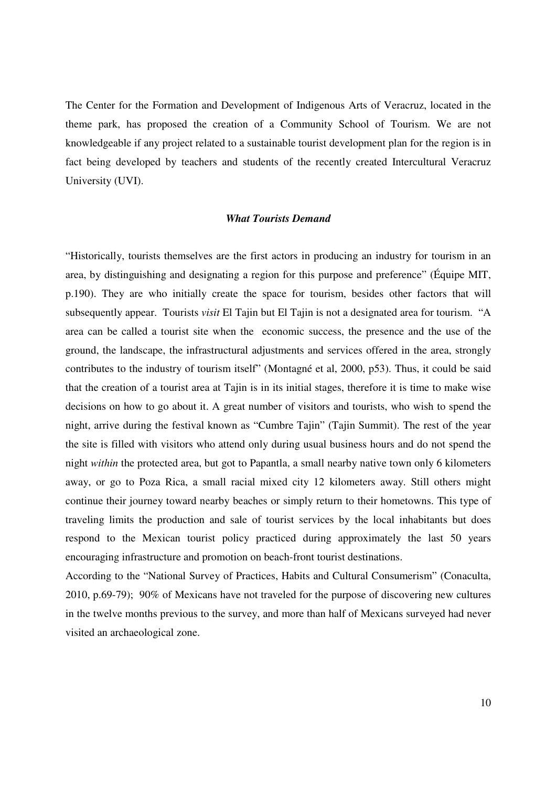The Center for the Formation and Development of Indigenous Arts of Veracruz, located in the theme park, has proposed the creation of a Community School of Tourism. We are not knowledgeable if any project related to a sustainable tourist development plan for the region is in fact being developed by teachers and students of the recently created Intercultural Veracruz University (UVI).

## *What Tourists Demand*

"Historically, tourists themselves are the first actors in producing an industry for tourism in an area, by distinguishing and designating a region for this purpose and preference" (Équipe MIT, p.190). They are who initially create the space for tourism, besides other factors that will subsequently appear. Tourists *visit* El Tajin but El Tajin is not a designated area for tourism. "A area can be called a tourist site when the economic success, the presence and the use of the ground, the landscape, the infrastructural adjustments and services offered in the area, strongly contributes to the industry of tourism itself" (Montagné et al, 2000, p53). Thus, it could be said that the creation of a tourist area at Tajin is in its initial stages, therefore it is time to make wise decisions on how to go about it. A great number of visitors and tourists, who wish to spend the night, arrive during the festival known as "Cumbre Tajin" (Tajin Summit). The rest of the year the site is filled with visitors who attend only during usual business hours and do not spend the night *within* the protected area, but got to Papantla, a small nearby native town only 6 kilometers away, or go to Poza Rica, a small racial mixed city 12 kilometers away. Still others might continue their journey toward nearby beaches or simply return to their hometowns. This type of traveling limits the production and sale of tourist services by the local inhabitants but does respond to the Mexican tourist policy practiced during approximately the last 50 years encouraging infrastructure and promotion on beach-front tourist destinations.

According to the "National Survey of Practices, Habits and Cultural Consumerism" (Conaculta, 2010, p.69-79); 90% of Mexicans have not traveled for the purpose of discovering new cultures in the twelve months previous to the survey, and more than half of Mexicans surveyed had never visited an archaeological zone.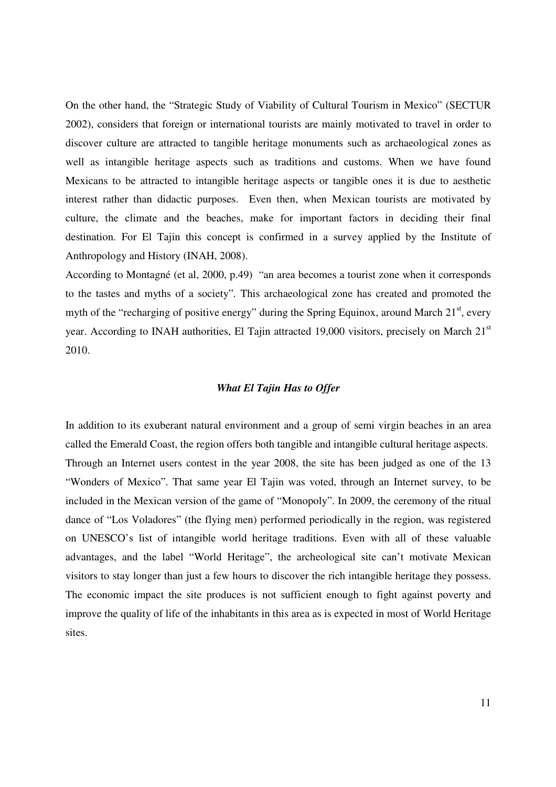On the other hand, the "Strategic Study of Viability of Cultural Tourism in Mexico" (SECTUR 2002), considers that foreign or international tourists are mainly motivated to travel in order to discover culture are attracted to tangible heritage monuments such as archaeological zones as well as intangible heritage aspects such as traditions and customs. When we have found Mexicans to be attracted to intangible heritage aspects or tangible ones it is due to aesthetic interest rather than didactic purposes. Even then, when Mexican tourists are motivated by culture, the climate and the beaches, make for important factors in deciding their final destination. For El Tajin this concept is confirmed in a survey applied by the Institute of Anthropology and History (INAH, 2008).

According to Montagné (et al, 2000, p.49) "an area becomes a tourist zone when it corresponds to the tastes and myths of a society"*.* This archaeological zone has created and promoted the myth of the "recharging of positive energy" during the Spring Equinox, around March  $21<sup>st</sup>$ , every year. According to INAH authorities, El Tajin attracted 19,000 visitors, precisely on March 21<sup>st</sup> 2010.

### *What El Tajin Has to Offer*

In addition to its exuberant natural environment and a group of semi virgin beaches in an area called the Emerald Coast, the region offers both tangible and intangible cultural heritage aspects. Through an Internet users contest in the year 2008, the site has been judged as one of the 13 "Wonders of Mexico". That same year El Tajin was voted, through an Internet survey, to be included in the Mexican version of the game of "Monopoly". In 2009, the ceremony of the ritual dance of "Los Voladores" (the flying men) performed periodically in the region, was registered on UNESCO's list of intangible world heritage traditions. Even with all of these valuable advantages, and the label "World Heritage", the archeological site can't motivate Mexican visitors to stay longer than just a few hours to discover the rich intangible heritage they possess. The economic impact the site produces is not sufficient enough to fight against poverty and improve the quality of life of the inhabitants in this area as is expected in most of World Heritage sites.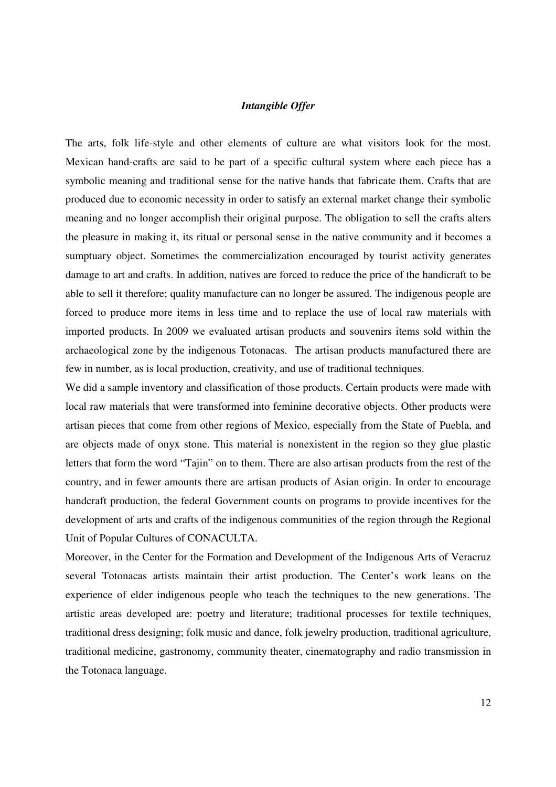## *Intangible Offer*

The arts, folk life-style and other elements of culture are what visitors look for the most. Mexican hand-crafts are said to be part of a specific cultural system where each piece has a symbolic meaning and traditional sense for the native hands that fabricate them. Crafts that are produced due to economic necessity in order to satisfy an external market change their symbolic meaning and no longer accomplish their original purpose. The obligation to sell the crafts alters the pleasure in making it, its ritual or personal sense in the native community and it becomes a sumptuary object. Sometimes the commercialization encouraged by tourist activity generates damage to art and crafts. In addition, natives are forced to reduce the price of the handicraft to be able to sell it therefore; quality manufacture can no longer be assured. The indigenous people are forced to produce more items in less time and to replace the use of local raw materials with imported products. In 2009 we evaluated artisan products and souvenirs items sold within the archaeological zone by the indigenous Totonacas. The artisan products manufactured there are few in number, as is local production, creativity, and use of traditional techniques.

We did a sample inventory and classification of those products. Certain products were made with local raw materials that were transformed into feminine decorative objects. Other products were artisan pieces that come from other regions of Mexico, especially from the State of Puebla, and are objects made of onyx stone. This material is nonexistent in the region so they glue plastic letters that form the word "Tajin" on to them. There are also artisan products from the rest of the country, and in fewer amounts there are artisan products of Asian origin. In order to encourage handcraft production, the federal Government counts on programs to provide incentives for the development of arts and crafts of the indigenous communities of the region through the Regional Unit of Popular Cultures of CONACULTA.

Moreover, in the Center for the Formation and Development of the Indigenous Arts of Veracruz several Totonacas artists maintain their artist production. The Center's work leans on the experience of elder indigenous people who teach the techniques to the new generations. The artistic areas developed are: poetry and literature; traditional processes for textile techniques, traditional dress designing; folk music and dance, folk jewelry production, traditional agriculture, traditional medicine, gastronomy, community theater, cinematography and radio transmission in the Totonaca language.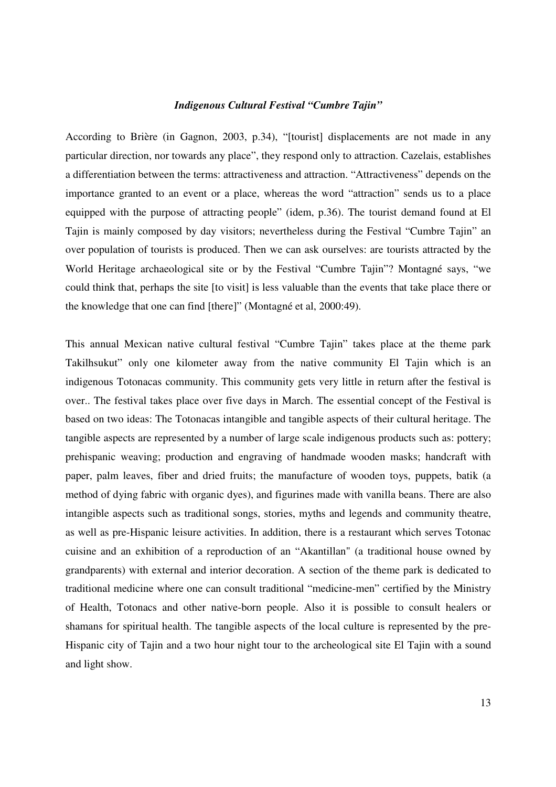#### *Indigenous Cultural Festival "Cumbre Tajin"*

According to Brière (in Gagnon, 2003, p.34), "[tourist] displacements are not made in any particular direction, nor towards any place", they respond only to attraction. Cazelais, establishes a differentiation between the terms: attractiveness and attraction. "Attractiveness" depends on the importance granted to an event or a place, whereas the word "attraction" sends us to a place equipped with the purpose of attracting people" (idem, p.36). The tourist demand found at El Tajin is mainly composed by day visitors; nevertheless during the Festival "Cumbre Tajin" an over population of tourists is produced. Then we can ask ourselves: are tourists attracted by the World Heritage archaeological site or by the Festival "Cumbre Tajin"? Montagné says, "we could think that, perhaps the site [to visit] is less valuable than the events that take place there or the knowledge that one can find [there]" (Montagné et al, 2000:49).

This annual Mexican native cultural festival "Cumbre Tajin" takes place at the theme park Takilhsukut" only one kilometer away from the native community El Tajin which is an indigenous Totonacas community. This community gets very little in return after the festival is over.. The festival takes place over five days in March. The essential concept of the Festival is based on two ideas: The Totonacas intangible and tangible aspects of their cultural heritage. The tangible aspects are represented by a number of large scale indigenous products such as: pottery; prehispanic weaving; production and engraving of handmade wooden masks; handcraft with paper, palm leaves, fiber and dried fruits; the manufacture of wooden toys, puppets, batik (a method of dying fabric with organic dyes), and figurines made with vanilla beans. There are also intangible aspects such as traditional songs, stories, myths and legends and community theatre, as well as pre-Hispanic leisure activities. In addition, there is a restaurant which serves Totonac cuisine and an exhibition of a reproduction of an "Akantillan" (a traditional house owned by grandparents) with external and interior decoration. A section of the theme park is dedicated to traditional medicine where one can consult traditional "medicine-men" certified by the Ministry of Health, Totonacs and other native-born people. Also it is possible to consult healers or shamans for spiritual health. The tangible aspects of the local culture is represented by the pre-Hispanic city of Tajin and a two hour night tour to the archeological site El Tajin with a sound and light show.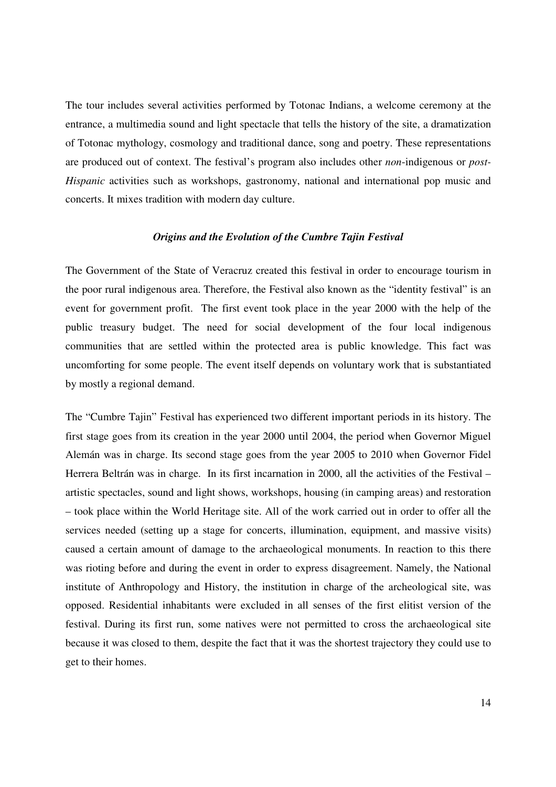The tour includes several activities performed by Totonac Indians, a welcome ceremony at the entrance, a multimedia sound and light spectacle that tells the history of the site, a dramatization of Totonac mythology, cosmology and traditional dance, song and poetry. These representations are produced out of context. The festival's program also includes other *non*-indigenous or *post-Hispanic* activities such as workshops, gastronomy, national and international pop music and concerts. It mixes tradition with modern day culture.

#### *Origins and the Evolution of the Cumbre Tajin Festival*

The Government of the State of Veracruz created this festival in order to encourage tourism in the poor rural indigenous area. Therefore, the Festival also known as the "identity festival" is an event for government profit. The first event took place in the year 2000 with the help of the public treasury budget. The need for social development of the four local indigenous communities that are settled within the protected area is public knowledge. This fact was uncomforting for some people. The event itself depends on voluntary work that is substantiated by mostly a regional demand.

The "Cumbre Tajin" Festival has experienced two different important periods in its history. The first stage goes from its creation in the year 2000 until 2004, the period when Governor Miguel Alemán was in charge. Its second stage goes from the year 2005 to 2010 when Governor Fidel Herrera Beltrán was in charge. In its first incarnation in 2000, all the activities of the Festival – artistic spectacles, sound and light shows, workshops, housing (in camping areas) and restoration – took place within the World Heritage site. All of the work carried out in order to offer all the services needed (setting up a stage for concerts, illumination, equipment, and massive visits) caused a certain amount of damage to the archaeological monuments. In reaction to this there was rioting before and during the event in order to express disagreement. Namely, the National institute of Anthropology and History, the institution in charge of the archeological site, was opposed. Residential inhabitants were excluded in all senses of the first elitist version of the festival. During its first run, some natives were not permitted to cross the archaeological site because it was closed to them, despite the fact that it was the shortest trajectory they could use to get to their homes.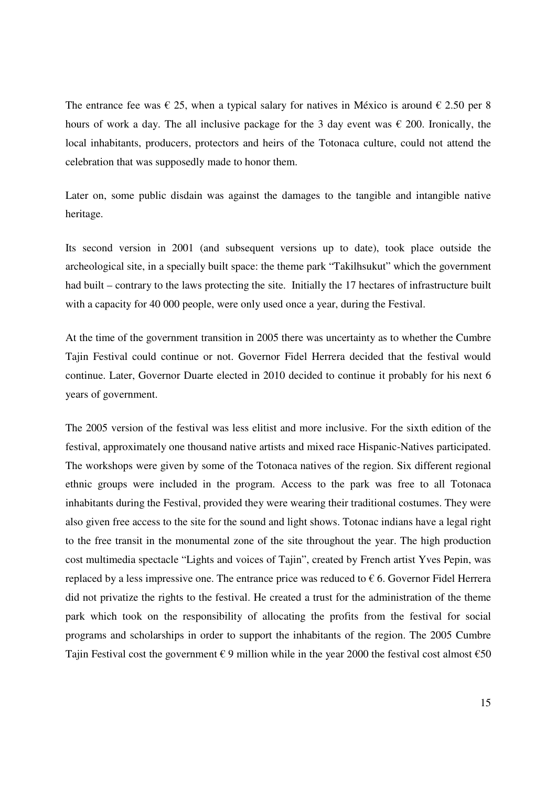The entrance fee was  $\epsilon$  25, when a typical salary for natives in México is around  $\epsilon$  2.50 per 8 hours of work a day. The all inclusive package for the 3 day event was  $\epsilon$  200. Ironically, the local inhabitants, producers, protectors and heirs of the Totonaca culture, could not attend the celebration that was supposedly made to honor them.

Later on, some public disdain was against the damages to the tangible and intangible native heritage.

Its second version in 2001 (and subsequent versions up to date), took place outside the archeological site, in a specially built space: the theme park "Takilhsukut" which the government had built – contrary to the laws protecting the site. Initially the 17 hectares of infrastructure built with a capacity for 40 000 people, were only used once a year, during the Festival.

At the time of the government transition in 2005 there was uncertainty as to whether the Cumbre Tajin Festival could continue or not. Governor Fidel Herrera decided that the festival would continue. Later, Governor Duarte elected in 2010 decided to continue it probably for his next 6 years of government.

The 2005 version of the festival was less elitist and more inclusive. For the sixth edition of the festival, approximately one thousand native artists and mixed race Hispanic-Natives participated. The workshops were given by some of the Totonaca natives of the region. Six different regional ethnic groups were included in the program. Access to the park was free to all Totonaca inhabitants during the Festival, provided they were wearing their traditional costumes. They were also given free access to the site for the sound and light shows. Totonac indians have a legal right to the free transit in the monumental zone of the site throughout the year. The high production cost multimedia spectacle "Lights and voices of Tajin", created by French artist Yves Pepin, was replaced by a less impressive one. The entrance price was reduced to  $\epsilon$  6. Governor Fidel Herrera did not privatize the rights to the festival. He created a trust for the administration of the theme park which took on the responsibility of allocating the profits from the festival for social programs and scholarships in order to support the inhabitants of the region. The 2005 Cumbre Tajin Festival cost the government  $\epsilon$  9 million while in the year 2000 the festival cost almost  $\epsilon$ 50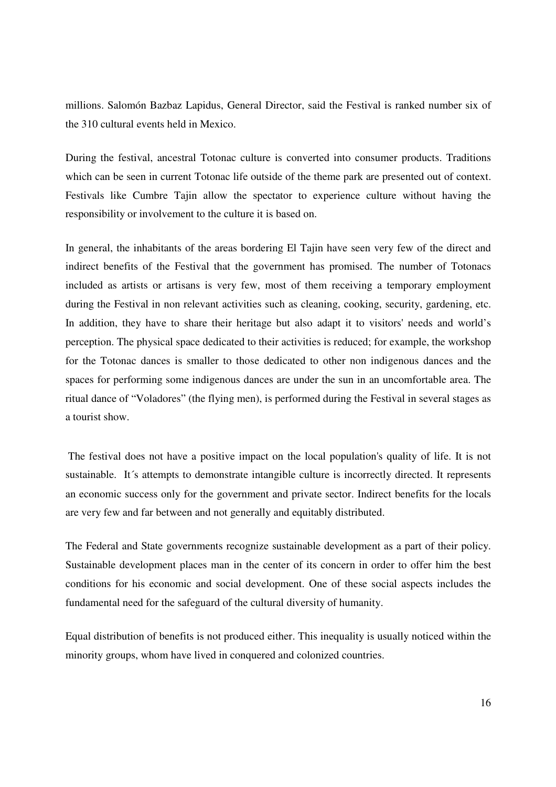millions. Salomón Bazbaz Lapidus, General Director, said the Festival is ranked number six of the 310 cultural events held in Mexico.

During the festival, ancestral Totonac culture is converted into consumer products. Traditions which can be seen in current Totonac life outside of the theme park are presented out of context. Festivals like Cumbre Tajin allow the spectator to experience culture without having the responsibility or involvement to the culture it is based on.

In general, the inhabitants of the areas bordering El Tajin have seen very few of the direct and indirect benefits of the Festival that the government has promised. The number of Totonacs included as artists or artisans is very few, most of them receiving a temporary employment during the Festival in non relevant activities such as cleaning, cooking, security, gardening, etc. In addition, they have to share their heritage but also adapt it to visitors' needs and world's perception. The physical space dedicated to their activities is reduced; for example, the workshop for the Totonac dances is smaller to those dedicated to other non indigenous dances and the spaces for performing some indigenous dances are under the sun in an uncomfortable area. The ritual dance of "Voladores" (the flying men), is performed during the Festival in several stages as a tourist show.

 The festival does not have a positive impact on the local population's quality of life. It is not sustainable. It's attempts to demonstrate intangible culture is incorrectly directed. It represents an economic success only for the government and private sector. Indirect benefits for the locals are very few and far between and not generally and equitably distributed.

The Federal and State governments recognize sustainable development as a part of their policy. Sustainable development places man in the center of its concern in order to offer him the best conditions for his economic and social development. One of these social aspects includes the fundamental need for the safeguard of the cultural diversity of humanity.

Equal distribution of benefits is not produced either. This inequality is usually noticed within the minority groups, whom have lived in conquered and colonized countries.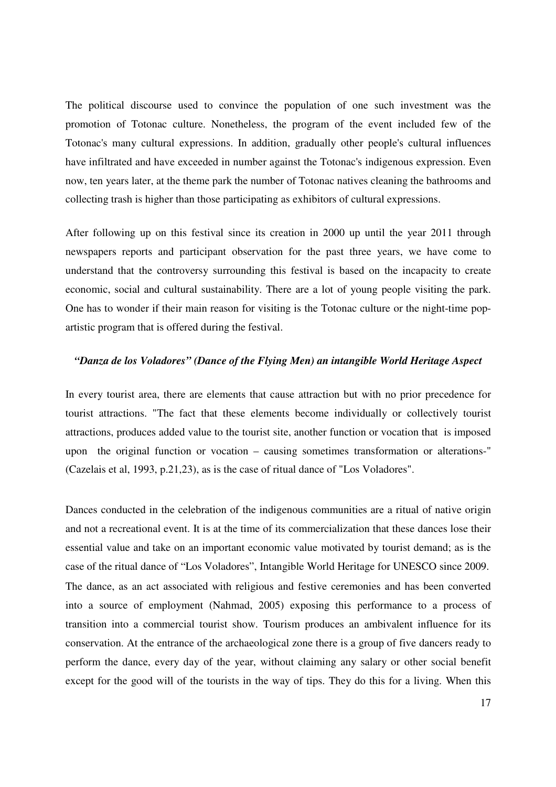The political discourse used to convince the population of one such investment was the promotion of Totonac culture. Nonetheless, the program of the event included few of the Totonac's many cultural expressions. In addition, gradually other people's cultural influences have infiltrated and have exceeded in number against the Totonac's indigenous expression. Even now, ten years later, at the theme park the number of Totonac natives cleaning the bathrooms and collecting trash is higher than those participating as exhibitors of cultural expressions.

After following up on this festival since its creation in 2000 up until the year 2011 through newspapers reports and participant observation for the past three years, we have come to understand that the controversy surrounding this festival is based on the incapacity to create economic, social and cultural sustainability. There are a lot of young people visiting the park. One has to wonder if their main reason for visiting is the Totonac culture or the night-time popartistic program that is offered during the festival.

## *"Danza de los Voladores" (Dance of the Flying Men) an intangible World Heritage Aspect*

In every tourist area, there are elements that cause attraction but with no prior precedence for tourist attractions. "The fact that these elements become individually or collectively tourist attractions, produces added value to the tourist site, another function or vocation that is imposed upon the original function or vocation – causing sometimes transformation or alterations-" (Cazelais et al, 1993, p.21,23), as is the case of ritual dance of "Los Voladores".

Dances conducted in the celebration of the indigenous communities are a ritual of native origin and not a recreational event. It is at the time of its commercialization that these dances lose their essential value and take on an important economic value motivated by tourist demand; as is the case of the ritual dance of "Los Voladores", Intangible World Heritage for UNESCO since 2009. The dance, as an act associated with religious and festive ceremonies and has been converted into a source of employment (Nahmad, 2005) exposing this performance to a process of transition into a commercial tourist show. Tourism produces an ambivalent influence for its conservation. At the entrance of the archaeological zone there is a group of five dancers ready to perform the dance, every day of the year, without claiming any salary or other social benefit except for the good will of the tourists in the way of tips. They do this for a living. When this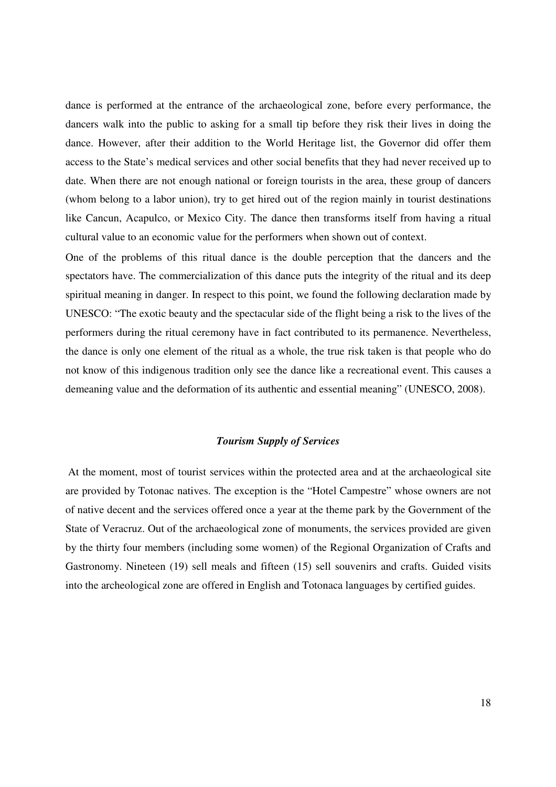dance is performed at the entrance of the archaeological zone, before every performance, the dancers walk into the public to asking for a small tip before they risk their lives in doing the dance. However, after their addition to the World Heritage list, the Governor did offer them access to the State's medical services and other social benefits that they had never received up to date. When there are not enough national or foreign tourists in the area, these group of dancers (whom belong to a labor union), try to get hired out of the region mainly in tourist destinations like Cancun, Acapulco, or Mexico City. The dance then transforms itself from having a ritual cultural value to an economic value for the performers when shown out of context.

One of the problems of this ritual dance is the double perception that the dancers and the spectators have. The commercialization of this dance puts the integrity of the ritual and its deep spiritual meaning in danger. In respect to this point, we found the following declaration made by UNESCO: "The exotic beauty and the spectacular side of the flight being a risk to the lives of the performers during the ritual ceremony have in fact contributed to its permanence. Nevertheless, the dance is only one element of the ritual as a whole, the true risk taken is that people who do not know of this indigenous tradition only see the dance like a recreational event. This causes a demeaning value and the deformation of its authentic and essential meaning" (UNESCO, 2008).

# *Tourism Supply of Services*

 At the moment, most of tourist services within the protected area and at the archaeological site are provided by Totonac natives. The exception is the "Hotel Campestre" whose owners are not of native decent and the services offered once a year at the theme park by the Government of the State of Veracruz. Out of the archaeological zone of monuments, the services provided are given by the thirty four members (including some women) of the Regional Organization of Crafts and Gastronomy. Nineteen (19) sell meals and fifteen (15) sell souvenirs and crafts. Guided visits into the archeological zone are offered in English and Totonaca languages by certified guides.